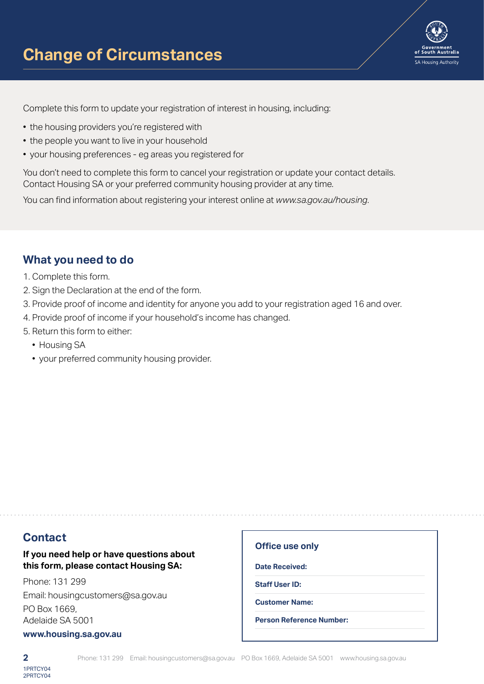

Complete this form to update your registration of interest in housing, including:

- the housing providers you're registered with
- the people you want to live in your household
- your housing preferences eg areas you registered for

You don't need to complete this form to cancel your registration or update your contact details. Contact Housing SA or your preferred community housing provider at any time.

You can find information about registering your interest online at *www.sa.gov.au/housing*.

# **What you need to do**

- 1. Complete this form.
- 2. Sign the Declaration at the end of the form.
- 3. Provide proof of income and identity for anyone you add to your registration aged 16 and over.
- 4. Provide proof of income if your household's income has changed.
- 5. Return this form to either:
	- Housing SA
	- your preferred community housing provider.

# **Contact**

#### **If you need help or have questions about this form, please contact Housing SA:**

Phone: 131 299 Email: housingcustomers@sa.gov.au PO Box 1669, Adelaide SA 5001

#### **www.housing.sa.gov.au**

#### **Office use only**

**Date Received:**

**Staff User ID:**

**Customer Name:**

**Person Reference Number:**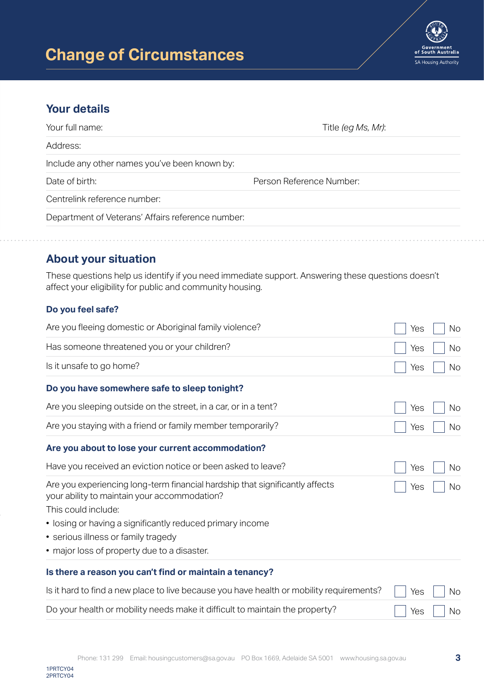

# **Your details**

| Your full name:<br>Title (eg Ms, Mr):             |  |
|---------------------------------------------------|--|
| Address:                                          |  |
| Include any other names you've been known by:     |  |
| Person Reference Number:<br>Date of birth:        |  |
| Centrelink reference number:                      |  |
| Department of Veterans' Affairs reference number: |  |
|                                                   |  |

# **About your situation**

These questions help us identify if you need immediate support. Answering these questions doesn't affect your eligibility for public and community housing.

### **Do you feel safe?**

| Are you fleeing domestic or Aboriginal family violence?                                                                                             | Yes | N <sub>o</sub> |
|-----------------------------------------------------------------------------------------------------------------------------------------------------|-----|----------------|
| Has someone threatened you or your children?                                                                                                        | Yes | No             |
| Is it unsafe to go home?                                                                                                                            | Yes | No             |
| Do you have somewhere safe to sleep tonight?                                                                                                        |     |                |
| Are you sleeping outside on the street, in a car, or in a tent?                                                                                     | Yes | No.            |
| Are you staying with a friend or family member temporarily?                                                                                         | Yes | <b>No</b>      |
| Are you about to lose your current accommodation?                                                                                                   |     |                |
| Have you received an eviction notice or been asked to leave?                                                                                        | Yes | <b>No</b>      |
| Are you experiencing long-term financial hardship that significantly affects<br>your ability to maintain your accommodation?<br>This could include: | Yes | No.            |
| • losing or having a significantly reduced primary income<br>• serious illness or family tragedy                                                    |     |                |
| • major loss of property due to a disaster.                                                                                                         |     |                |
| Is there a reason you can't find or maintain a tenancy?                                                                                             |     |                |
| Is it hard to find a new place to live because you have health or mobility requirements?                                                            | Yes | <b>No</b>      |
| Do your health or mobility needs make it difficult to maintain the property?                                                                        | Yes | No             |

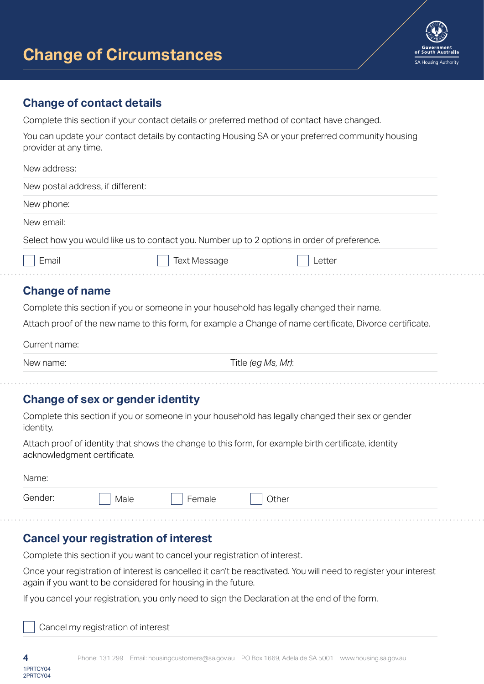

## **Change of contact details**

Complete this section if your contact details or preferred method of contact have changed.

You can update your contact details by contacting Housing SA or your preferred community housing provider at any time.

| New address:                      |                     |                                                                                             |
|-----------------------------------|---------------------|---------------------------------------------------------------------------------------------|
| New postal address, if different: |                     |                                                                                             |
| New phone:                        |                     |                                                                                             |
| New email:                        |                     |                                                                                             |
|                                   |                     | Select how you would like us to contact you. Number up to 2 options in order of preference. |
| Email                             | <b>Text Message</b> | Letter                                                                                      |

# **Change of name**

Complete this section if you or someone in your household has legally changed their name.

Attach proof of the new name to this form, for example a Change of name certificate, Divorce certificate.

Current name:

New name:  $\Box$  Title *(eg Ms, Mr)*:

# **Change of sex or gender identity**

Complete this section if you or someone in your household has legally changed their sex or gender identity.

Attach proof of identity that shows the change to this form, for example birth certificate, identity acknowledgment certificate.

| Name: |
|-------|
|-------|

| $\overline{\phantom{0}}$<br>Other<br>Male |
|-------------------------------------------|
|-------------------------------------------|

# **Cancel your registration of interest**

Complete this section if you want to cancel your registration of interest.

Once your registration of interest is cancelled it can't be reactivated. You will need to register your interest again if you want to be considered for housing in the future.

If you cancel your registration, you only need to sign the Declaration at the end of the form.

Cancel my registration of interest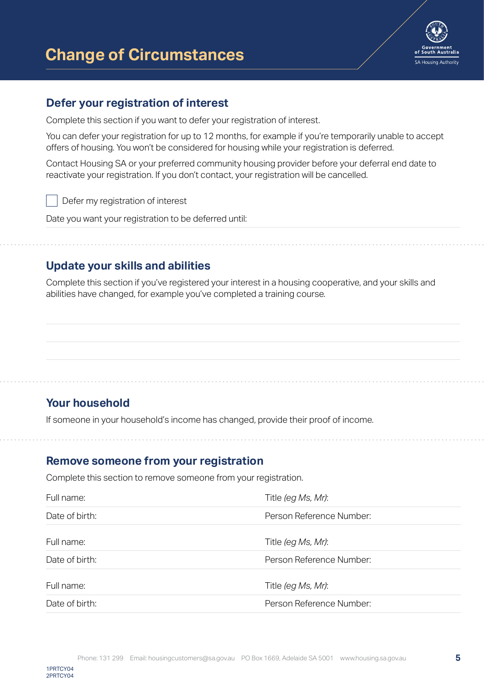

## **Defer your registration of interest**

Complete this section if you want to defer your registration of interest.

You can defer your registration for up to 12 months, for example if you're temporarily unable to accept offers of housing. You won't be considered for housing while your registration is deferred.

Contact Housing SA or your preferred community housing provider before your deferral end date to reactivate your registration. If you don't contact, your registration will be cancelled.

Defer my registration of interest

Date you want your registration to be deferred until:

# **Update your skills and abilities**

Complete this section if you've registered your interest in a housing cooperative, and your skills and abilities have changed, for example you've completed a training course.

# **Your household**

If someone in your household's income has changed, provide their proof of income.

### **Remove someone from your registration**

Complete this section to remove someone from your registration.

| Full name:     | Title (eg Ms, Mr):       |
|----------------|--------------------------|
| Date of birth: | Person Reference Number: |
| Full name:     | Title (eg Ms, Mr):       |
| Date of birth: | Person Reference Number: |
| Full name:     | Title (eg Ms, Mr):       |
| Date of birth: | Person Reference Number: |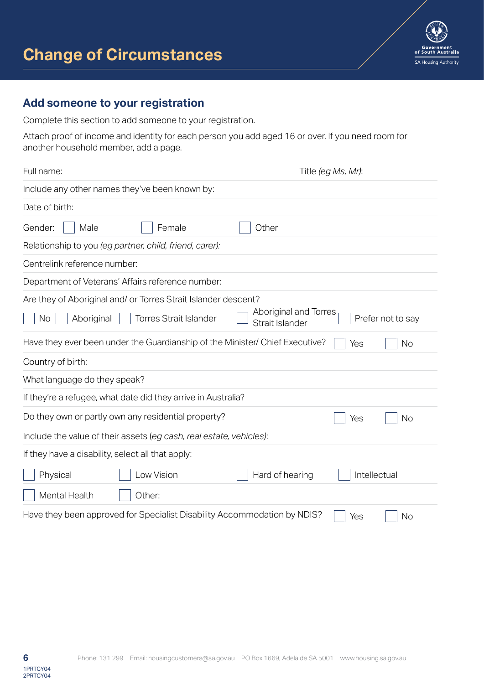

# **Add someone to your registration**

Complete this section to add someone to your registration.

Attach proof of income and identity for each person you add aged 16 or over. If you need room for another household member, add a page.

| Full name:                                                                   | Title (eg Ms, Mr):                                            |  |  |
|------------------------------------------------------------------------------|---------------------------------------------------------------|--|--|
| Include any other names they've been known by:                               |                                                               |  |  |
| Date of birth:                                                               |                                                               |  |  |
| Male<br>Gender:<br>Female                                                    | Other                                                         |  |  |
| Relationship to you (eg partner, child, friend, carer):                      |                                                               |  |  |
| Centrelink reference number:                                                 |                                                               |  |  |
| Department of Veterans' Affairs reference number:                            |                                                               |  |  |
| Are they of Aboriginal and/ or Torres Strait Islander descent?               |                                                               |  |  |
| <b>Torres Strait Islander</b><br>Aboriginal<br><b>No</b>                     | Aboriginal and Torres<br>Prefer not to say<br>Strait Islander |  |  |
| Have they ever been under the Guardianship of the Minister/ Chief Executive? | Yes<br><b>No</b>                                              |  |  |
| Country of birth:                                                            |                                                               |  |  |
| What language do they speak?                                                 |                                                               |  |  |
| If they're a refugee, what date did they arrive in Australia?                |                                                               |  |  |
| Do they own or partly own any residential property?                          | <b>No</b><br>Yes                                              |  |  |
| Include the value of their assets (eg cash, real estate, vehicles):          |                                                               |  |  |
| If they have a disability, select all that apply:                            |                                                               |  |  |
| Low Vision<br>Physical                                                       | Intellectual<br>Hard of hearing                               |  |  |
| Mental Health<br>Other:                                                      |                                                               |  |  |
| Have they been approved for Specialist Disability Accommodation by NDIS?     | No<br>Yes                                                     |  |  |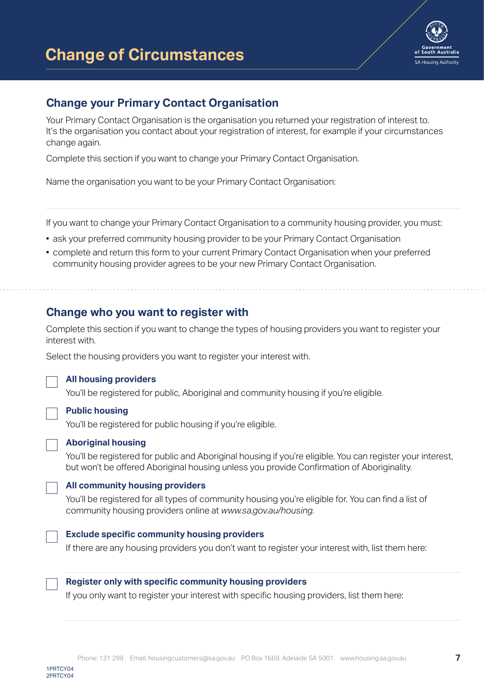

# **Change your Primary Contact Organisation**

Your Primary Contact Organisation is the organisation you returned your registration of interest to. It's the organisation you contact about your registration of interest, for example if your circumstances change again.

Complete this section if you want to change your Primary Contact Organisation.

Name the organisation you want to be your Primary Contact Organisation:

If you want to change your Primary Contact Organisation to a community housing provider, you must:

- ask your preferred community housing provider to be your Primary Contact Organisation
- complete and return this form to your current Primary Contact Organisation when your preferred community housing provider agrees to be your new Primary Contact Organisation.

# **Change who you want to register with**

Complete this section if you want to change the types of housing providers you want to register your interest with.

Select the housing providers you want to register your interest with.

#### **All housing providers**

You'll be registered for public, Aboriginal and community housing if you're eligible.

#### **Public housing**

You'll be registered for public housing if you're eligible.

#### **Aboriginal housing**

You'll be registered for public and Aboriginal housing if you're eligible. You can register your interest, but won't be offered Aboriginal housing unless you provide Confirmation of Aboriginality.

#### **All community housing providers**

You'll be registered for all types of community housing you're eligible for. You can find a list of community housing providers online at *www.sa.gov.au/housing.*

#### **Exclude specific community housing providers**

If there are any housing providers you don't want to register your interest with, list them here:



#### **Register only with specific community housing providers**

If you only want to register your interest with specific housing providers, list them here: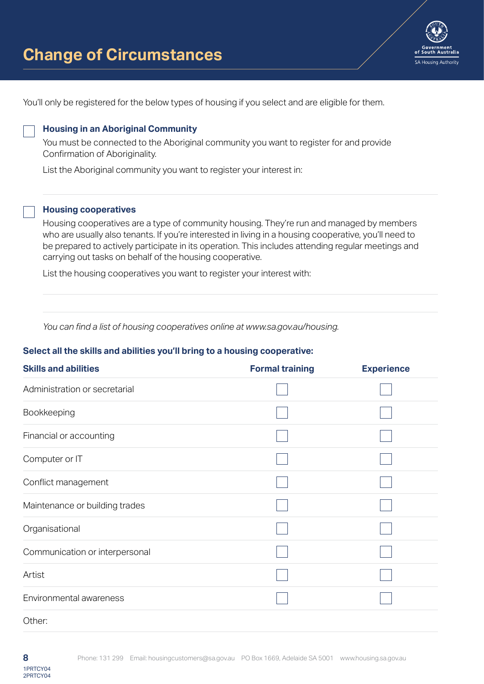

You'll only be registered for the below types of housing if you select and are eligible for them.

#### **Housing in an Aboriginal Community**

You must be connected to the Aboriginal community you want to register for and provide Confirmation of Aboriginality.

List the Aboriginal community you want to register your interest in:

#### **Housing cooperatives**

Housing cooperatives are a type of community housing. They're run and managed by members who are usually also tenants. If you're interested in living in a housing cooperative, you'll need to be prepared to actively participate in its operation. This includes attending regular meetings and carrying out tasks on behalf of the housing cooperative.

List the housing cooperatives you want to register your interest with:

*You can find a list of housing cooperatives online at www.sa.gov.au/housing.*

#### **Select all the skills and abilities you'll bring to a housing cooperative:**

| <b>Skills and abilities</b>    | <b>Formal training</b> | <b>Experience</b> |
|--------------------------------|------------------------|-------------------|
| Administration or secretarial  |                        |                   |
| Bookkeeping                    |                        |                   |
| Financial or accounting        |                        |                   |
| Computer or IT                 |                        |                   |
| Conflict management            |                        |                   |
| Maintenance or building trades |                        |                   |
| Organisational                 |                        |                   |
| Communication or interpersonal |                        |                   |
| Artist                         |                        |                   |
| Environmental awareness        |                        |                   |
| Other:                         |                        |                   |

2PRTCY04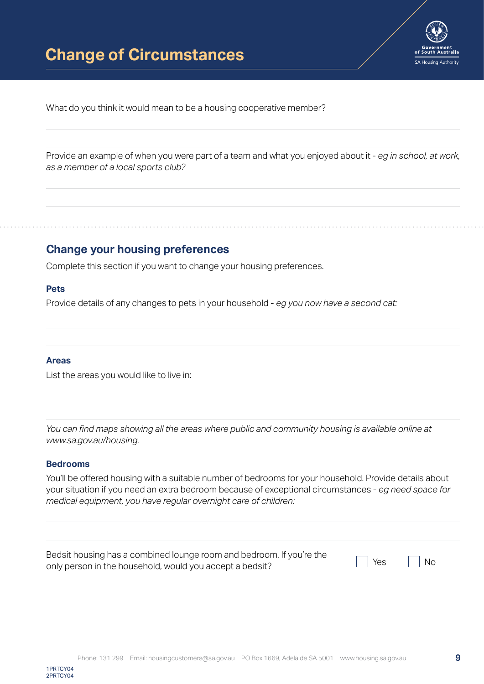

What do you think it would mean to be a housing cooperative member?

Provide an example of when you were part of a team and what you enjoyed about it - *eg in school, at work, as a member of a local sports club?*

## **Change your housing preferences**

Complete this section if you want to change your housing preferences.

#### **Pets**

Provide details of any changes to pets in your household - *eg you now have a second cat:*

#### **Areas**

List the areas you would like to live in:

*You can find maps showing all the areas where public and community housing is available online at www.sa.gov.au/housing.*

#### **Bedrooms**

You'll be offered housing with a suitable number of bedrooms for your household. Provide details about your situation if you need an extra bedroom because of exceptional circumstances - *eg need space for medical equipment, you have regular overnight care of children:*

| Bedsit housing has a combined lounge room and bedroom. If you're the<br>only person in the household, would you accept a bedsit? | $\Box$ Yes $\Box$ No |  |
|----------------------------------------------------------------------------------------------------------------------------------|----------------------|--|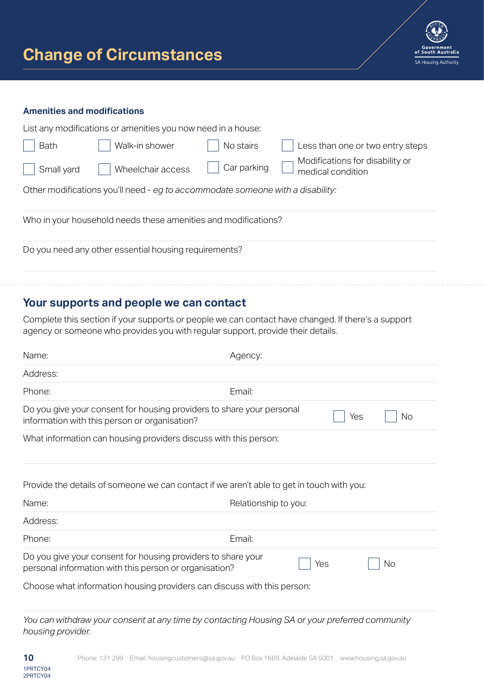

#### **Amenities and modifications**

|             | List any modifications or amenities you now need in a house:                   |             |                                                      |
|-------------|--------------------------------------------------------------------------------|-------------|------------------------------------------------------|
| <b>Bath</b> | Walk-in shower                                                                 | No stairs   | Less than one or two entry steps                     |
| Small yard  | Wheelchair access                                                              | Car parking | Modifications for disability or<br>medical condition |
|             | Other modifications you'll need - eg to accommodate someone with a disability: |             |                                                      |
|             | Who in your household needs these amenities and modifications?                 |             |                                                      |
|             | Do you need any other essential housing requirements?                          |             |                                                      |
|             |                                                                                |             |                                                      |
|             |                                                                                |             |                                                      |

# **Your supports and people we can contact**

Complete this section if your supports or people we can contact have changed. If there's a support agency or someone who provides you with regular support, provide their details.

| Name:                                                                                                                  | Agency:              |     |           |
|------------------------------------------------------------------------------------------------------------------------|----------------------|-----|-----------|
| Address:                                                                                                               |                      |     |           |
| Phone:                                                                                                                 | Email:               |     |           |
| Do you give your consent for housing providers to share your personal<br>information with this person or organisation? |                      | Yes | No        |
| What information can housing providers discuss with this person:                                                       |                      |     |           |
| Provide the details of someone we can contact if we aren't able to get in touch with you:                              |                      |     |           |
| Name:                                                                                                                  | Relationship to you: |     |           |
| Address:                                                                                                               |                      |     |           |
| Phone:                                                                                                                 | Email:               |     |           |
| Do you give your consent for housing providers to share your<br>personal information with this person or organisation? |                      | Yes | <b>No</b> |
| Choose what information housing providers can discuss with this person:                                                |                      |     |           |
| You can withdraw your consent at any time by contacting Housing SA or your preferred community                         |                      |     |           |

*housing provider.*

2PRTCY04